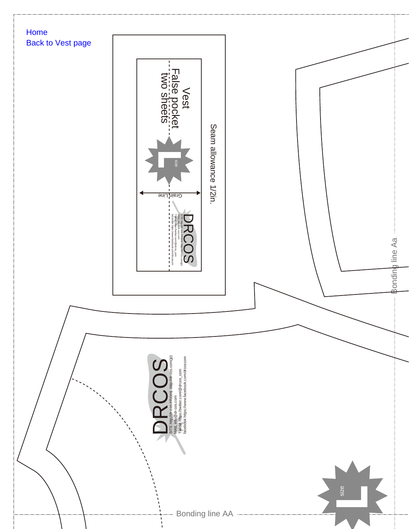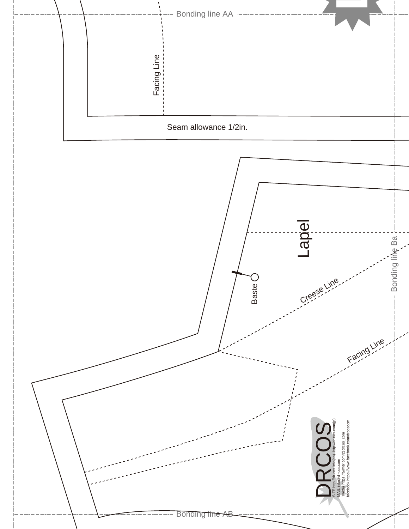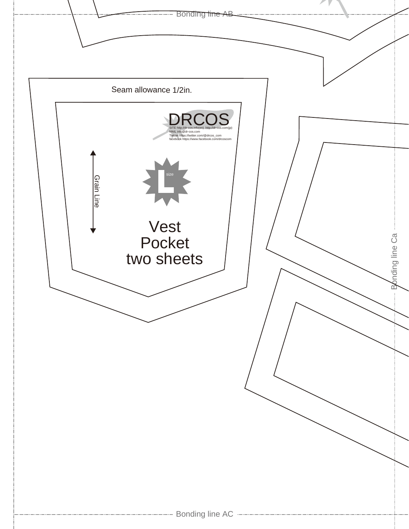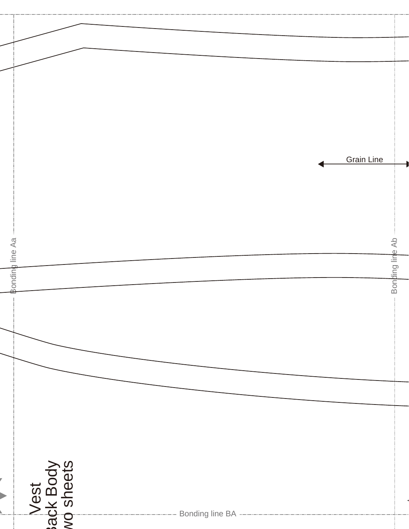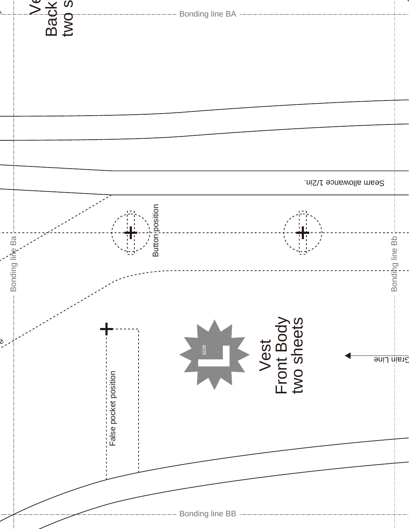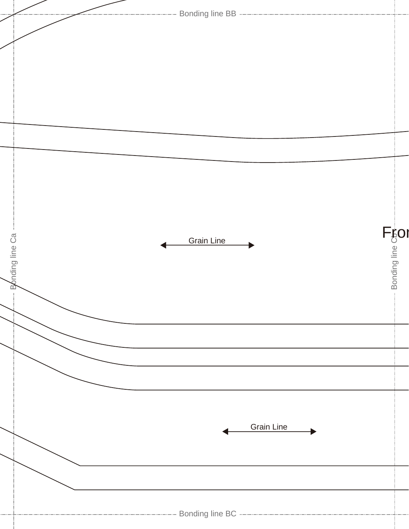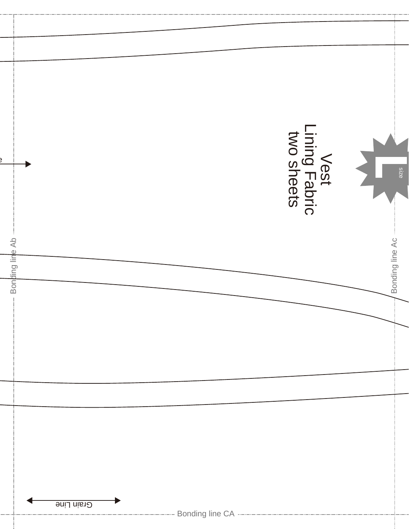|                 |            | Vest<br>Lining Fabric<br>two sheets |                 |
|-----------------|------------|-------------------------------------|-----------------|
|                 |            |                                     | <b>Size</b>     |
|                 |            |                                     |                 |
|                 |            |                                     |                 |
|                 |            |                                     |                 |
|                 |            |                                     |                 |
|                 |            |                                     |                 |
|                 |            |                                     |                 |
|                 |            |                                     |                 |
| Bonding line Ab |            |                                     | Bonding line Ac |
|                 |            |                                     |                 |
|                 |            |                                     |                 |
|                 |            |                                     |                 |
|                 |            |                                     |                 |
|                 |            |                                     |                 |
|                 |            |                                     |                 |
|                 |            |                                     |                 |
|                 |            |                                     |                 |
|                 |            |                                     |                 |
|                 |            |                                     |                 |
|                 |            |                                     |                 |
|                 |            |                                     |                 |
|                 |            |                                     |                 |
|                 |            |                                     |                 |
|                 | Grain Line |                                     |                 |
|                 |            |                                     |                 |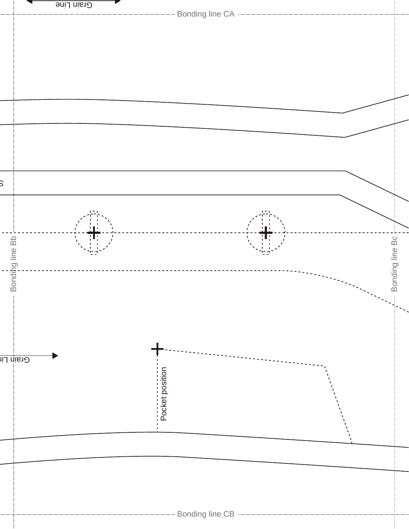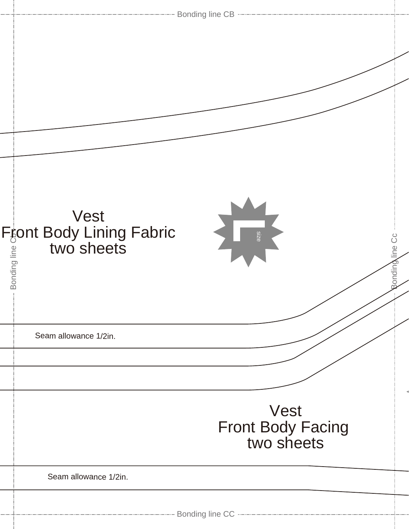| -------------------- Bonding line CB --------------------------                                        |  |  |
|--------------------------------------------------------------------------------------------------------|--|--|
|                                                                                                        |  |  |
| Vest<br>Front Body Lining Fabric<br>all two sheets<br>all all two sheets<br>Size<br>ပိ<br>Ronding line |  |  |
| Seam allowance 1/2in.                                                                                  |  |  |
| Vest<br>Front Body Facing<br>two sheets                                                                |  |  |
| Seam allowance 1/2in.                                                                                  |  |  |
|                                                                                                        |  |  |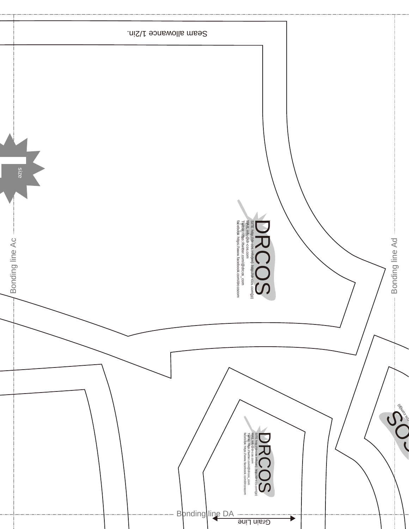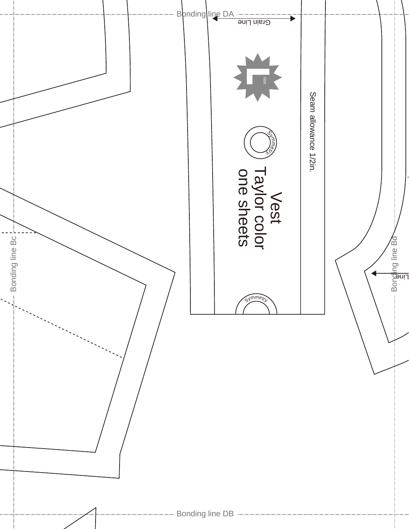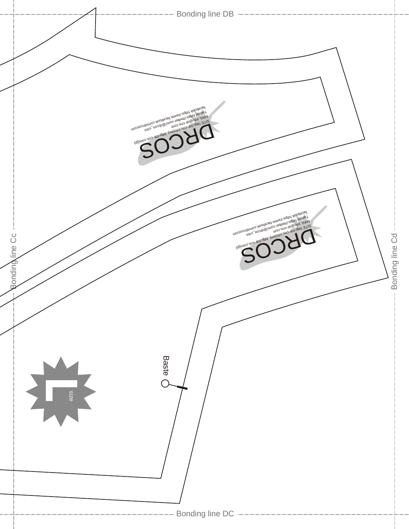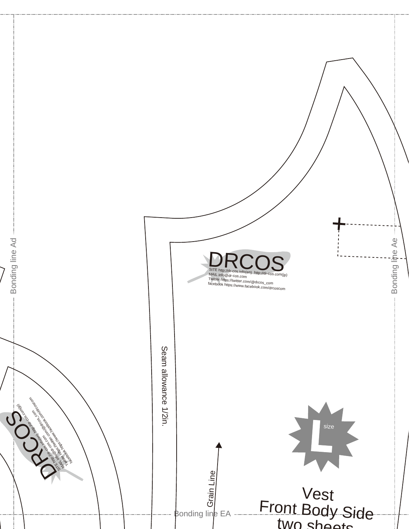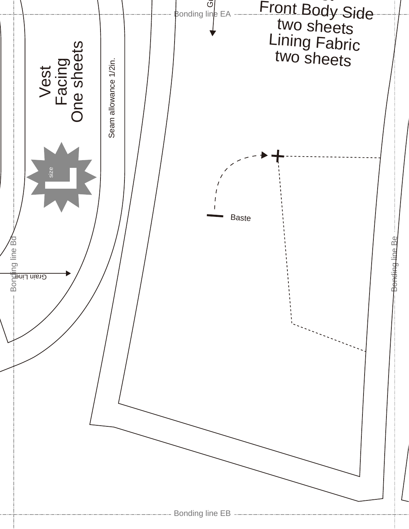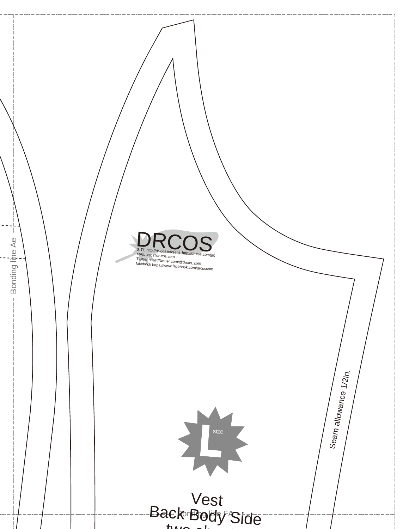